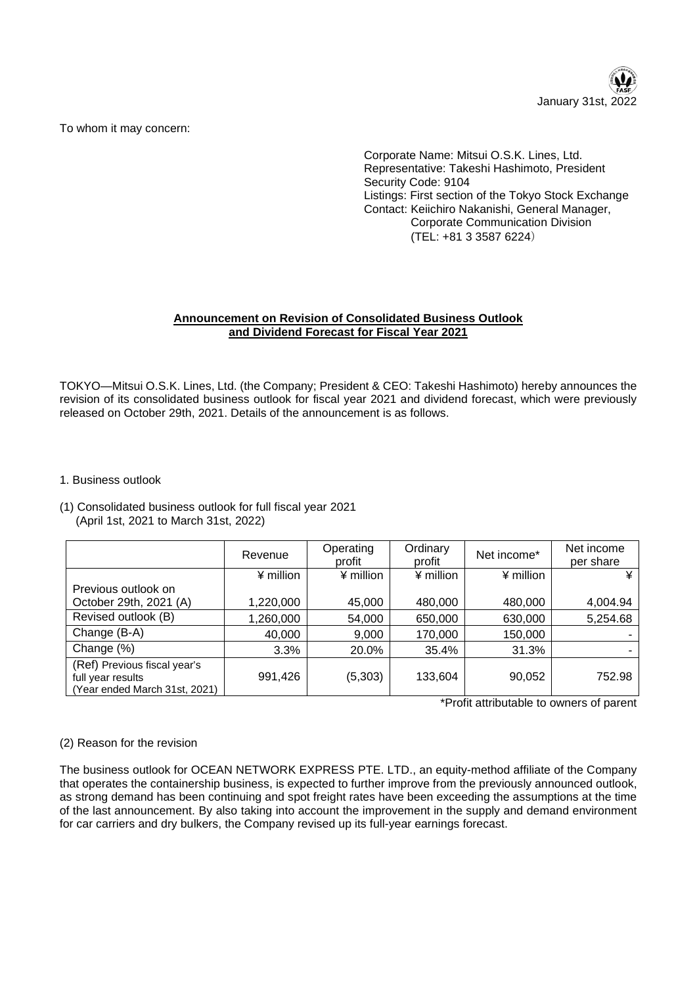

To whom it may concern:

Corporate Name: Mitsui O.S.K. Lines, Ltd. Representative: Takeshi Hashimoto, President Security Code: 9104 Listings: First section of the Tokyo Stock Exchange Contact: Keiichiro Nakanishi, General Manager, Corporate Communication Division (TEL: +81 3 3587 6224)

# **Announcement on Revision of Consolidated Business Outlook and Dividend Forecast for Fiscal Year 2021**

TOKYO—Mitsui O.S.K. Lines, Ltd. (the Company; President & CEO: Takeshi Hashimoto) hereby announces the revision of its consolidated business outlook for fiscal year 2021 and dividend forecast, which were previously released on October 29th, 2021. Details of the announcement is as follows.

- 1. Business outlook
- (1) Consolidated business outlook for full fiscal year 2021 (April 1st, 2021 to March 31st, 2022)

|                                                                                    | Revenue     | Operating<br>profit | Ordinary<br>profit | Net income* | Net income<br>per share |
|------------------------------------------------------------------------------------|-------------|---------------------|--------------------|-------------|-------------------------|
|                                                                                    | $4$ million | ¥ million           | ¥ million          | ¥ million   | ¥                       |
| Previous outlook on                                                                |             |                     |                    |             |                         |
| October 29th, 2021 (A)                                                             | 1,220,000   | 45,000              | 480,000            | 480,000     | 4,004.94                |
| Revised outlook (B)                                                                | 1,260,000   | 54,000              | 650,000            | 630,000     | 5,254.68                |
| Change (B-A)                                                                       | 40,000      | 9,000               | 170,000            | 150,000     |                         |
| Change (%)                                                                         | 3.3%        | 20.0%               | 35.4%              | 31.3%       |                         |
| (Ref) Previous fiscal year's<br>full year results<br>(Year ended March 31st, 2021) | 991,426     | (5,303)             | 133,604            | 90,052      | 752.98                  |

\*Profit attributable to owners of parent

# (2) Reason for the revision

The business outlook for OCEAN NETWORK EXPRESS PTE. LTD., an equity-method affiliate of the Company that operates the containership business, is expected to further improve from the previously announced outlook, as strong demand has been continuing and spot freight rates have been exceeding the assumptions at the time of the last announcement. By also taking into account the improvement in the supply and demand environment for car carriers and dry bulkers, the Company revised up its full-year earnings forecast.